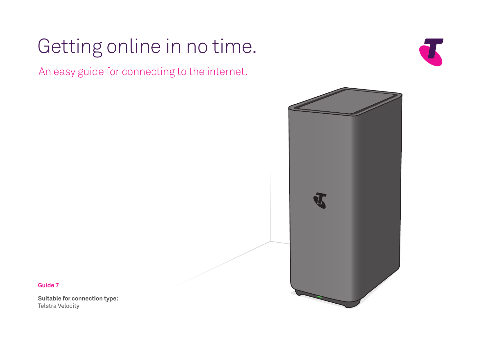# Getting online in no time.

An easy guide for connecting to the internet.





**Guide 7** 

**Suitable for connection type:**  Telstra Velocity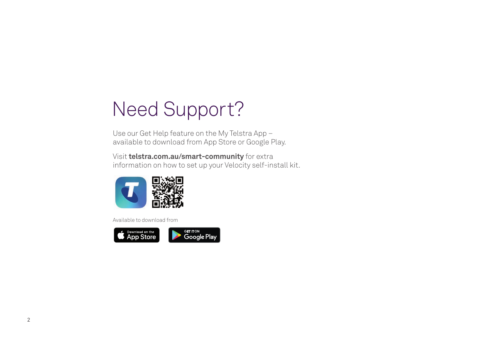# Need Support?

Use our Get Help feature on the My Telstra App – available to download from App Store or Google Play.

Visit **[telstra.com.au/smart-community](http://telstra.com.au/smart-community)** for extra information on how to set up your Velocity self-install kit.



Available to download from

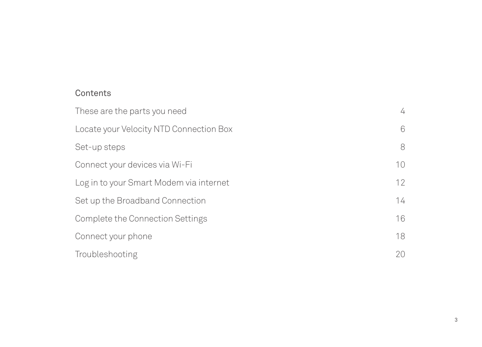## **Contents**

| These are the parts you need            | 4  |
|-----------------------------------------|----|
| Locate your Velocity NTD Connection Box | 6  |
| Set-up steps                            | 8  |
| Connect your devices via Wi-Fi          | 10 |
| Log in to your Smart Modem via internet | 12 |
| Set up the Broadband Connection         | 14 |
| Complete the Connection Settings        | 16 |
| Connect your phone                      | 18 |
| Troubleshooting                         | 20 |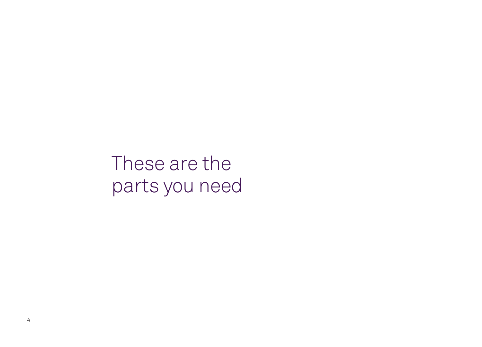These are the parts you need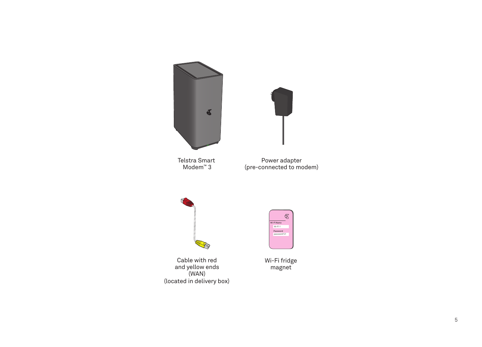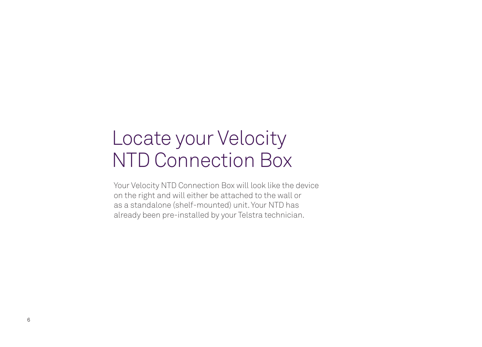# Locate your Velocity NTD Connection Box

Your Velocity NTD Connection Box will look like the device on the right and will either be attached to the wall or as a standalone (shelf-mounted) unit. Your NTD has already been pre-installed by your Telstra technician.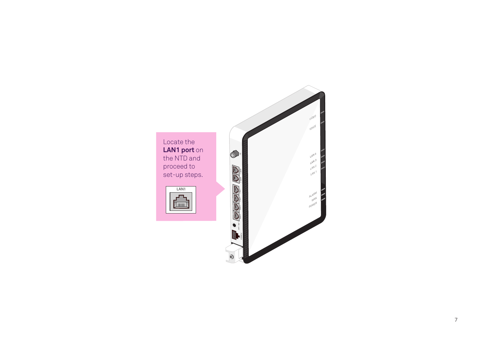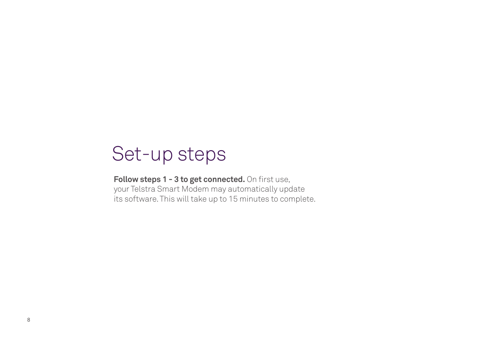# Set-up steps

Follow steps 1 - 3 to get connected. On first use, your Telstra Smart Modem may automatically update its software. This will take up to 15 minutes to complete.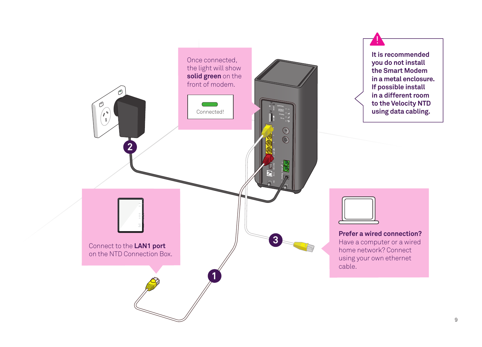





**Prefer a wired connection?**  Have a computer or a wired home network? Connect using your own ethernet cable.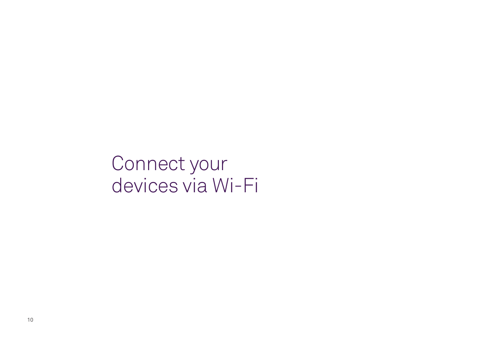Connect your devices via Wi-Fi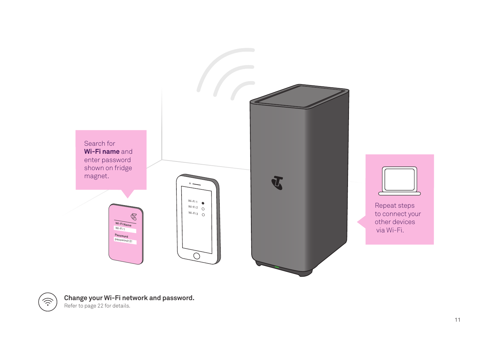



**Change your Wi-Fi network and password.** 

Refer to page 22 for details.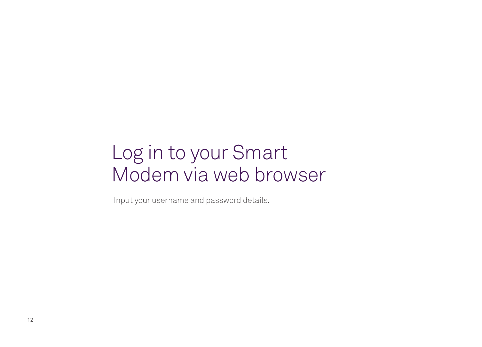# Log in to your Smart Modem via web browser

Input your username and password details.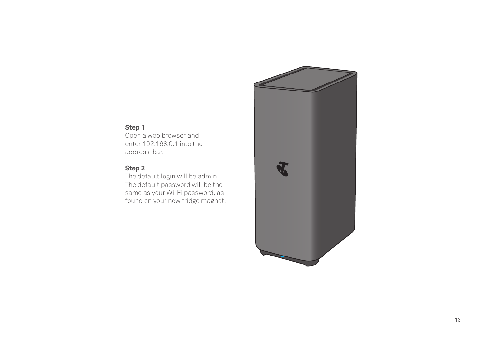### **Step 1**

Open a web browser and enter 192.168.0.1 into the address bar.

#### **Step 2**

The default login will be admin. The default password will be the same as your Wi-Fi password, as found on your new fridge magnet.

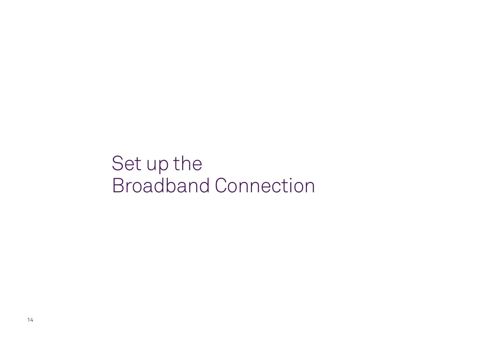Set up the Broadband Connection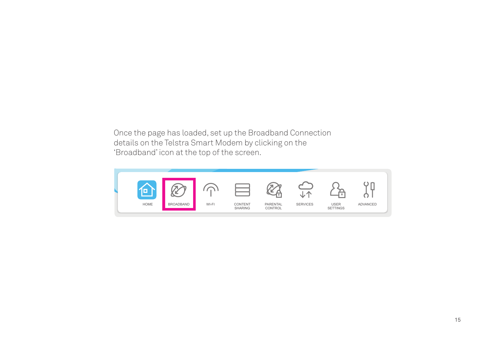Once the page has loaded, set up the Broadband Connection details on the Telstra Smart Modem by clicking on the 'Broadband' icon at the top of the screen.

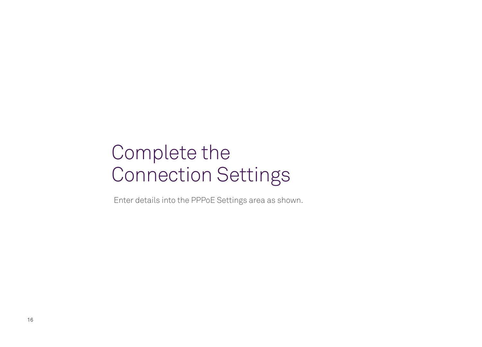# Complete the Connection Settings

Enter details into the PPPoE Settings area as shown.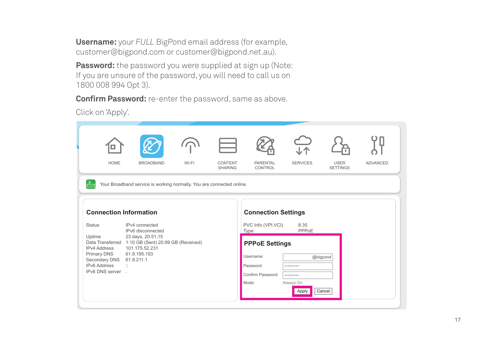**Username:** your *FULL* BigPond email address (for example, [customer@bigpond.com](mailto:customer@bigpond.com) or [customer@bigpond.net.au\)](mailto:customer@bigpond.net.au).

**Password:** the password you were supplied at sign up (Note: If you are unsure of the password, you will need to call us on 1800 008 994 Opt 3).

**Confirm Password:** re-enter the password, same as above.

Click on 'Apply'.

| <b>HOME</b>                                                                                                                                                                          | <b>BROADBAND</b>                                                                                                                                                                                                                               | WI-FI | CONTENT<br><b>SHARING</b> | <b>PARENTAL</b><br>CONTROL                                                                                                                | <b>SERVICES</b>                             | <b>USER</b><br><b>SETTINGS</b> | <b>ADVANCED</b> |
|--------------------------------------------------------------------------------------------------------------------------------------------------------------------------------------|------------------------------------------------------------------------------------------------------------------------------------------------------------------------------------------------------------------------------------------------|-------|---------------------------|-------------------------------------------------------------------------------------------------------------------------------------------|---------------------------------------------|--------------------------------|-----------------|
| $\frac{5}{100}$<br><b>Connection Information</b><br><b>Status</b><br>Uptime<br><b>IPv4 Address</b><br><b>Primary DNS</b><br>Secondary DNS<br><b>IPv6 Address</b><br>IPv6 DNS server. | Your Broadband service is working normally. You are connected online.<br>IPv4 connected<br>IPv6 disconnected<br>23 days, 20.51,15<br>Data Transferred 1.10 GB (Sent) 20.99 GB (Received)<br>101.175.52.231<br>61.9.195.193<br>61.9.211.1<br>÷. |       |                           | <b>Connection Settings</b><br>PVC Info (VPI.VCI)<br>Type<br><b>PPPoE Settings</b><br>Username:<br>Password:<br>Confirm Password:<br>Mode: | 8.35<br>PPPoE<br><br><br>Always On<br>Apply | @bigpond<br>Cancel             |                 |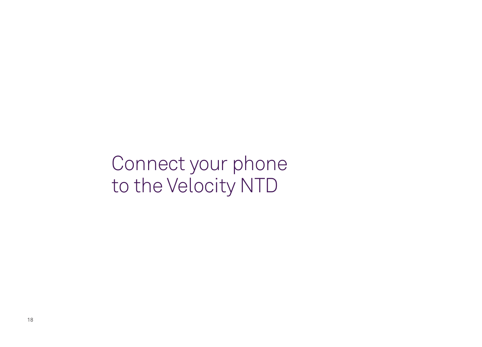Connect your phone to the Velocity NTD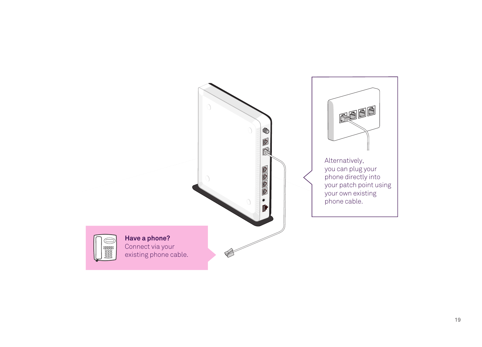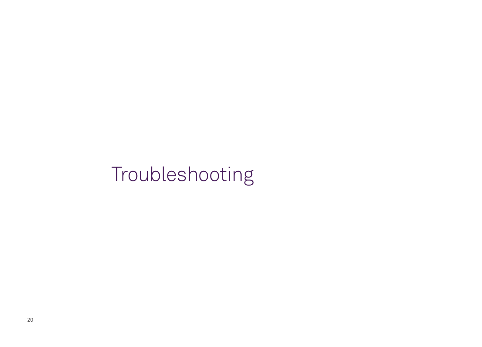# Troubleshooting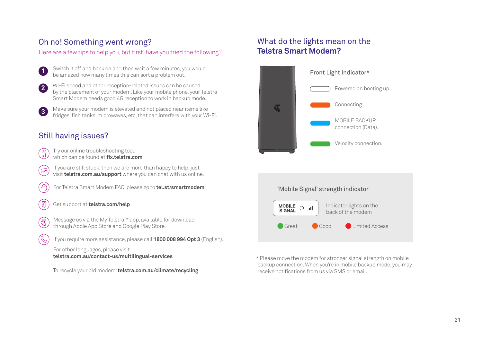### Oh no! Something went wrong?

Here are a few tips to help you, but first, have you tried the following?

- $\overline{\mathbf{1}}$ **1** Switch it off and back on and then wait a few minutes, you would be amazed how many times this can sort a problem out.
- **2**  Wi-Fi speed and other reception-related issues can be caused by the placement of your modem. Like your mobile phone, your Telstra Smart Modem needs good 4G reception to work in backup mode.
- **3**  Make sure your modem is elevated and not placed near items like fridges, fish tanks, microwaves, etc, that can interfere with your Wi-Fi.

### Still having issues?

- Try our online troubleshooting tool, ျှိ which can be found at **[fx.telstra.com](http://fix.telstra.com)**
- If you are still stuck, then we are more than happy to help, just (යු visit **[telstra.com.au/support](http://telstra.com.au/support)** where you can chat with us online.
- $\omega$ For Telstra Smart Modem FAQ, please go to **[tel.st/smartmodem](http://tel.st/smartmodem)**
- Get support at **[telstra.com/help](http://telstra.com/help)**
- Message us via the My Telstra™ app, available for download (க through Apple App Store and Google Play Store.
	- If you require more assistance, please call **1800 008 994 Opt 3** (English).

For other languages, please visit **[telstra.com.au/contact-us/multilingual-services](http://telstra.com.au/contact-us/multilingual-services)** 

To recycle your old modem: **[telstra.com.au/climate/recycling](http://telstra.com.au/climate/recycling)** 

### What do the lights mean on the **Telstra Smart Modem?**





\* Please move the modem for stronger signal strength on mobile backup connection. When you're in mobile backup mode, you may receive notifications from us via SMS or email.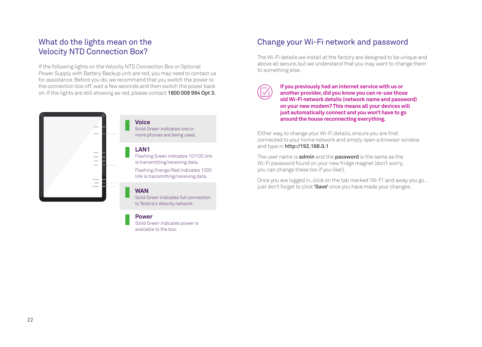### What do the lights mean on the Velocity NTD Connection Box?

If the following lights on the Velocity NTD Connection Box or Optional Power Supply with Battery Backup unit are red, you may need to contact us for assistance. Before you do, we recommend that you switch the power to the connection box off, wait a few seconds and then switch the power back on. If the lights are still showing as red, please contact **1800 008 994 Opt 3.** 



#### **Power**

Solid Green indicates power is available to the box.

### Change your Wi-Fi network and password

The Wi-Fi details we install at the factory are designed to be unique and above all secure, but we understand that you may want to change them to something else.

**If you previously had an internet service with us or another provider, did you know you can re-use those old Wi-Fi network details (network name and password) on your new modem? This means all your devices will just automatically connect and you won't have to go around the house reconnecting everything.** 

Either way, to change your Wi-Fi details, ensure you are frst connected to your home network and simply open a browser window and type in **<http://192.168.0.1>**

The user name is **admin** and the **password** is the same as the Wi-Fi password found on your new fridge magnet (don't worry, you can change these too if you like!).

Once you are logged in, click on the tab marked 'Wi-Fi' and away you go… just don't forget to click **'Save'** once you have made your changes.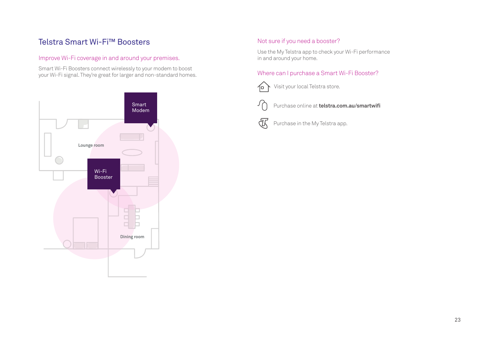### Telstra Smart Wi-Fi™ Boosters

#### Improve Wi-Fi coverage in and around your premises.

Smart Wi-Fi Boosters connect wirelessly to your modem to boost your Wi-Fi signal. They're great for larger and non-standard homes.



#### Not sure if you need a booster?

Use the My Telstra app to check your Wi-Fi performance in and around your home.

#### Where can I purchase a Smart Wi-Fi Booster?

Visit your local Telstra store. 石



Purchase online at **[telstra.com.au/smartwif](http://telstra.com.au/smartwifi)** 

#### 丞 Purchase in the My Telstra app.